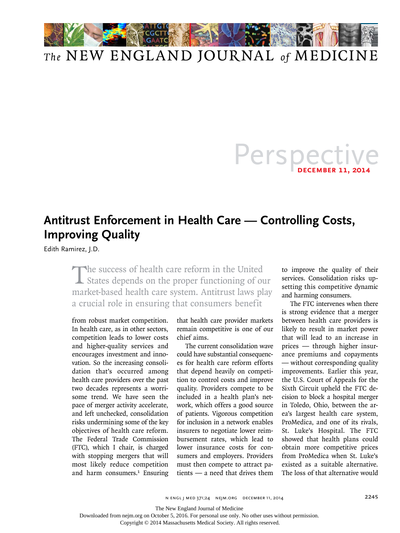

## *The* NEW ENGLAND JOURNAL *of* MEDICINE

## Perspec **december 11, 2014**

## **Antitrust Enforcement in Health Care — Controlling Costs, Improving Quality**

Edith Ramirez, J.D.

The success of health care reform in the United States depends on the proper functioning of our market-based health care system. Antitrust laws play a crucial role in ensuring that consumers benefit

from robust market competition. In health care, as in other sectors, competition leads to lower costs and higher-quality services and encourages investment and innovation. So the increasing consolidation that's occurred among health care providers over the past two decades represents a worrisome trend. We have seen the pace of merger activity accelerate, and left unchecked, consolidation risks undermining some of the key objectives of health care reform. The Federal Trade Commission (FTC), which I chair, is charged with stopping mergers that will most likely reduce competition and harm consumers.<sup>1</sup> Ensuring that health care provider markets remain competitive is one of our chief aims.

The current consolidation wave could have substantial consequences for health care reform efforts that depend heavily on competition to control costs and improve quality. Providers compete to be included in a health plan's network, which offers a good source of patients. Vigorous competition for inclusion in a network enables insurers to negotiate lower reimbursement rates, which lead to lower insurance costs for consumers and employers. Providers must then compete to attract patients — a need that drives them

to improve the quality of their services. Consolidation risks upsetting this competitive dynamic and harming consumers.

The FTC intervenes when there is strong evidence that a merger between health care providers is likely to result in market power that will lead to an increase in prices — through higher insurance premiums and copayments — without corresponding quality improvements. Earlier this year, the U.S. Court of Appeals for the Sixth Circuit upheld the FTC decision to block a hospital merger in Toledo, Ohio, between the area's largest health care system, ProMedica, and one of its rivals, St. Luke's Hospital. The FTC showed that health plans could obtain more competitive prices from ProMedica when St. Luke's existed as a suitable alternative. The loss of that alternative would

The New England Journal of Medicine

Downloaded from nejm.org on October 5, 2016. For personal use only. No other uses without permission.

Copyright © 2014 Massachusetts Medical Society. All rights reserved.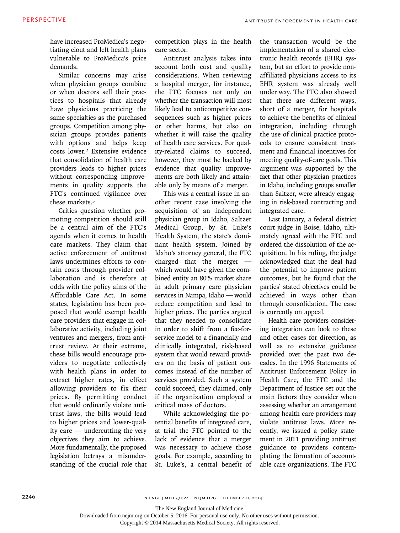have increased ProMedica's negotiating clout and left health plans vulnerable to ProMedica's price demands.

Similar concerns may arise when physician groups combine or when doctors sell their practices to hospitals that already have physicians practicing the same specialties as the purchased groups. Competition among physician groups provides patients with options and helps keep costs lower.2 Extensive evidence that consolidation of health care providers leads to higher prices without corresponding improvements in quality supports the FTC's continued vigilance over these markets.<sup>3</sup>

Critics question whether promoting competition should still be a central aim of the FTC's agenda when it comes to health care markets. They claim that active enforcement of antitrust laws undermines efforts to contain costs through provider collaboration and is therefore at odds with the policy aims of the Affordable Care Act. In some states, legislation has been proposed that would exempt health care providers that engage in collaborative activity, including joint ventures and mergers, from antitrust review. At their extreme, these bills would encourage providers to negotiate collectively with health plans in order to extract higher rates, in effect allowing providers to fix their prices. By permitting conduct that would ordinarily violate antitrust laws, the bills would lead to higher prices and lower-quality care — undercutting the very objectives they aim to achieve. More fundamentally, the proposed legislation betrays a misunderstanding of the crucial role that competition plays in the health care sector.

Antitrust analysis takes into account both cost and quality considerations. When reviewing a hospital merger, for instance, the FTC focuses not only on whether the transaction will most likely lead to anticompetitive consequences such as higher prices or other harms, but also on whether it will raise the quality of health care services. For quality-related claims to succeed, however, they must be backed by evidence that quality improvements are both likely and attainable only by means of a merger.

This was a central issue in another recent case involving the acquisition of an independent physician group in Idaho, Saltzer Medical Group, by St. Luke's Health System, the state's dominant health system. Joined by Idaho's attorney general, the FTC charged that the merger which would have given the combined entity an 80% market share in adult primary care physician services in Nampa, Idaho — would reduce competition and lead to higher prices. The parties argued that they needed to consolidate in order to shift from a fee-forservice model to a financially and clinically integrated, risk-based system that would reward providers on the basis of patient outcomes instead of the number of services provided. Such a system could succeed, they claimed, only if the organization employed a critical mass of doctors.

While acknowledging the potential benefits of integrated care, at trial the FTC pointed to the lack of evidence that a merger was necessary to achieve those goals. For example, according to St. Luke's, a central benefit of the transaction would be the implementation of a shared electronic health records (EHR) system, but an effort to provide nonaffiliated physicians access to its EHR system was already well under way. The FTC also showed that there are different ways, short of a merger, for hospitals to achieve the benefits of clinical integration, including through the use of clinical practice protocols to ensure consistent treatment and financial incentives for meeting quality-of-care goals. This argument was supported by the fact that other physician practices in Idaho, including groups smaller than Saltzer, were already engaging in risk-based contracting and integrated care.

Last January, a federal district court judge in Boise, Idaho, ultimately agreed with the FTC and ordered the dissolution of the acquisition. In his ruling, the judge acknowledged that the deal had the potential to improve patient outcomes, but he found that the parties' stated objectives could be achieved in ways other than through consolidation. The case is currently on appeal.

Health care providers considering integration can look to these and other cases for direction, as well as to extensive guidance provided over the past two decades. In the 1996 Statements of Antitrust Enforcement Policy in Health Care, the FTC and the Department of Justice set out the main factors they consider when assessing whether an arrangement among health care providers may violate antitrust laws. More recently, we issued a policy statement in 2011 providing antitrust guidance to providers contemplating the formation of accountable care organizations. The FTC

2246 n engl j med 371;24 nejm.org december 11, 2014

The New England Journal of Medicine

Downloaded from nejm.org on October 5, 2016. For personal use only. No other uses without permission.

Copyright © 2014 Massachusetts Medical Society. All rights reserved.